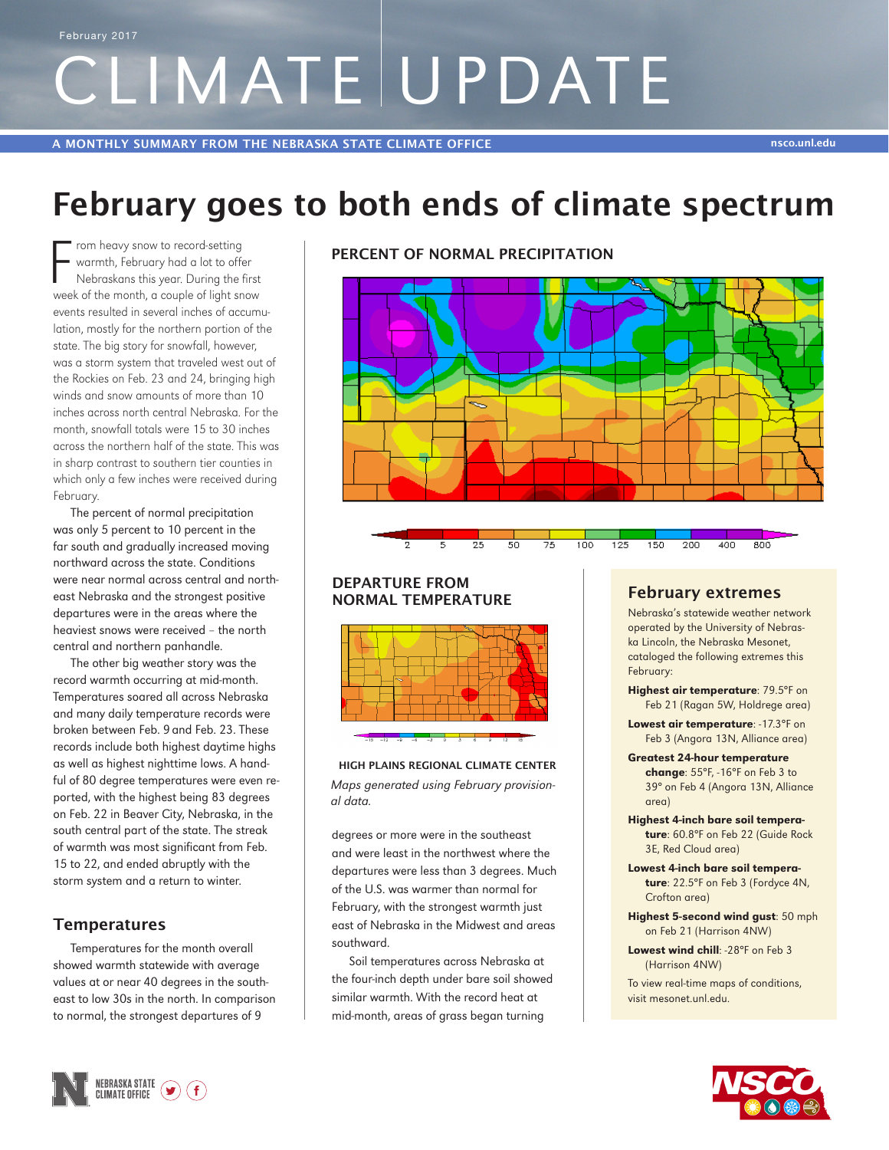# CLIMATE UPDATE February 2017

## **February goes to both ends of climate spectrum**

From heavy snow to record-setting<br>warmth, February had a lot to offer<br>Nebraskans this year. During the first<br>week of the month, a couple of light snow rom heavy snow to record-setting warmth, February had a lot to offer Nebraskans this year. During the first events resulted in several inches of accumulation, mostly for the northern portion of the state. The big story for snowfall, however, was a storm system that traveled west out of the Rockies on Feb. 23 and 24, bringing high winds and snow amounts of more than 10 inches across north central Nebraska. For the month, snowfall totals were 15 to 30 inches across the northern half of the state. This was in sharp contrast to southern tier counties in which only a few inches were received during February.

The percent of normal precipitation was only 5 percent to 10 percent in the far south and gradually increased moving northward across the state. Conditions were near normal across central and northeast Nebraska and the strongest positive departures were in the areas where the heaviest snows were received – the north central and northern panhandle.

The other big weather story was the record warmth occurring at mid-month. Temperatures soared all across Nebraska and many daily temperature records were broken between Feb. 9 and Feb. 23. These records include both highest daytime highs as well as highest nighttime lows. A handful of 80 degree temperatures were even reported, with the highest being 83 degrees on Feb. 22 in Beaver City, Nebraska, in the south central part of the state. The streak of warmth was most significant from Feb. 15 to 22, and ended abruptly with the storm system and a return to winter.

#### **Temperatures**

Temperatures for the month overall showed warmth statewide with average values at or near 40 degrees in the southeast to low 30s in the north. In comparison to normal, the strongest departures of 9





100

#### **DEPARTURE FROM NORMAL TEMPERATURE February extremes**

 $\overline{5}$ 

 $\overline{25}$ 

50

75



#### **HIGH PLAINS REGIONAL CLIMATE CENTER** *Maps generated using February provisional data.*

degrees or more were in the southeast and were least in the northwest where the departures were less than 3 degrees. Much of the U.S. was warmer than normal for February, with the strongest warmth just east of Nebraska in the Midwest and areas southward.

Soil temperatures across Nebraska at the four-inch depth under bare soil showed similar warmth. With the record heat at mid-month, areas of grass began turning

 $200$ 

150

125

Nebraska's statewide weather network operated by the University of Nebraska Lincoln, the Nebraska Mesonet, cataloged the following extremes this February:

 $400$ 

 $\overline{800}$ 

- Highest air temperature: 79.5°F on Feb 21 (Ragan 5W, Holdrege area)
- Lowest air temperature: -17.3°F on Feb 3 (Angora 13N, Alliance area)
- Greatest 24-hour temperature change: 55°F, -16°F on Feb 3 to 39° on Feb 4 (Angora 13N, Alliance
- area) Highest 4-inch bare soil temperature: 60.8°F on Feb 22 (Guide Rock 3E, Red Cloud area)
- Lowest 4-inch bare soil temperature: 22.5°F on Feb 3 (Fordyce 4N, Crofton area)
- Highest 5-second wind gust: 50 mph on Feb 21 (Harrison 4NW)
- Lowest wind chill: -28°F on Feb 3 (Harrison 4NW)

To view real-time maps of conditions, visit mesonet.unl.edu.